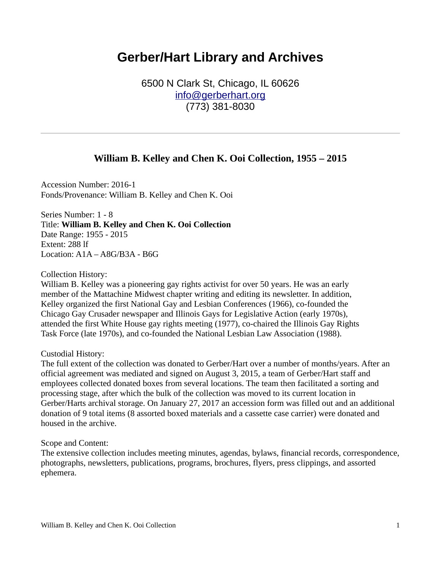# **Gerber/Hart Library and Archives**

6500 N Clark St, Chicago, IL 60626 [info@gerberhart.org](mailto:info@gerberhart.org) (773) 381-8030

# **William B. Kelley and Chen K. Ooi Collection, 1955 – 2015**

Accession Number: 2016-1 Fonds/Provenance: William B. Kelley and Chen K. Ooi

Series Number: 1 - 8 Title: **William B. Kelley and Chen K. Ooi Collection** Date Range: 1955 - 2015 Extent: 288 lf Location: A1A – A8G/B3A - B6G

Collection History:

William B. Kelley was a pioneering gay rights activist for over 50 years. He was an early member of the Mattachine Midwest chapter writing and editing its newsletter. In addition, Kelley organized the first National Gay and Lesbian Conferences (1966), co-founded the Chicago Gay Crusader newspaper and Illinois Gays for Legislative Action (early 1970s), attended the first White House gay rights meeting (1977), co-chaired the Illinois Gay Rights Task Force (late 1970s), and co-founded the National Lesbian Law Association (1988).

#### Custodial History:

The full extent of the collection was donated to Gerber/Hart over a number of months/years. After an official agreement was mediated and signed on August 3, 2015, a team of Gerber/Hart staff and employees collected donated boxes from several locations. The team then facilitated a sorting and processing stage, after which the bulk of the collection was moved to its current location in Gerber/Harts archival storage. On January 27, 2017 an accession form was filled out and an additional donation of 9 total items (8 assorted boxed materials and a cassette case carrier) were donated and housed in the archive.

Scope and Content:

The extensive collection includes meeting minutes, agendas, bylaws, financial records, correspondence, photographs, newsletters, publications, programs, brochures, flyers, press clippings, and assorted ephemera.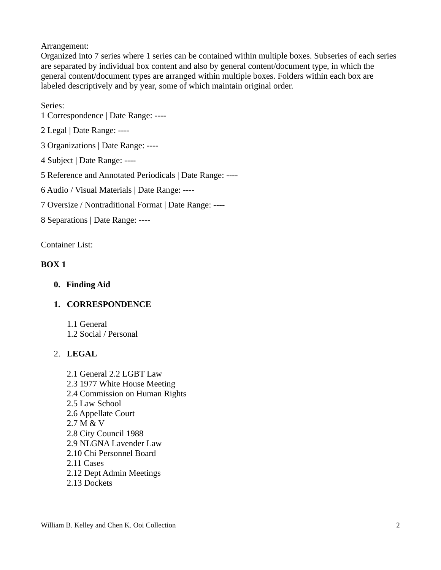Arrangement:

Organized into 7 series where 1 series can be contained within multiple boxes. Subseries of each series are separated by individual box content and also by general content/document type, in which the general content/document types are arranged within multiple boxes. Folders within each box are labeled descriptively and by year, some of which maintain original order.

# Series:

1 Correspondence | Date Range: ----

2 Legal | Date Range: ----

3 Organizations | Date Range: ----

4 Subject | Date Range: ----

5 Reference and Annotated Periodicals | Date Range: ----

6 Audio / Visual Materials | Date Range: ----

7 Oversize / Nontraditional Format | Date Range: ----

8 Separations | Date Range: ----

Container List:

# **BOX 1**

**0. Finding Aid**

# **1. CORRESPONDENCE**

1.1 General 1.2 Social / Personal

# 2. **LEGAL**

2.1 General 2.2 LGBT Law 2.3 1977 White House Meeting 2.4 Commission on Human Rights 2.5 Law School 2.6 Appellate Court 2.7 M & V 2.8 City Council 1988 2.9 NLGNA Lavender Law 2.10 Chi Personnel Board 2.11 Cases 2.12 Dept Admin Meetings 2.13 Dockets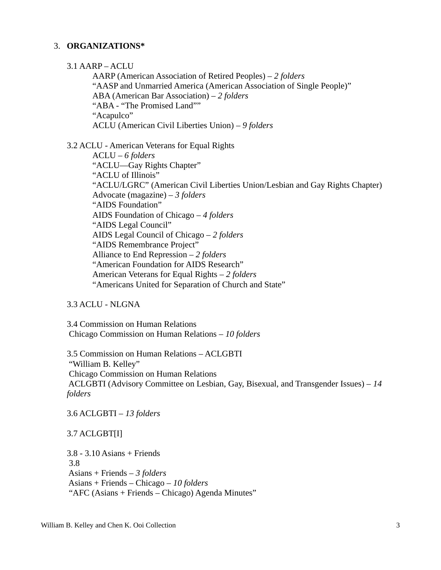## 3. **ORGANIZATIONS\***

3.1 AARP – ACLU

AARP (American Association of Retired Peoples) – *2 folders* "AASP and Unmarried America (American Association of Single People)" ABA (American Bar Association) – *2 folders* "ABA - "The Promised Land"" "Acapulco" ACLU (American Civil Liberties Union) – *9 folders*

3.2 ACLU - American Veterans for Equal Rights

ACLU – *6 folders* "ACLU—Gay Rights Chapter" "ACLU of Illinois" "ACLU/LGRC" (American Civil Liberties Union/Lesbian and Gay Rights Chapter) Advocate (magazine) – *3 folders* "AIDS Foundation" AIDS Foundation of Chicago – *4 folders* "AIDS Legal Council" AIDS Legal Council of Chicago – *2 folders* "AIDS Remembrance Project" Alliance to End Repression – *2 folders* "American Foundation for AIDS Research" American Veterans for Equal Rights – *2 folders* "Americans United for Separation of Church and State"

## 3.3 ACLU - NLGNA

3.4 Commission on Human Relations Chicago Commission on Human Relations – *10 folders*

3.5 Commission on Human Relations – ACLGBTI "William B. Kelley" Chicago Commission on Human Relations ACLGBTI (Advisory Committee on Lesbian, Gay, Bisexual, and Transgender Issues) – *14 folders*

3.6 ACLGBTI – *13 folders*

## 3.7 ACLGBT[I]

3.8 - 3.10 Asians + Friends 3.8 Asians + Friends – *3 folders* Asians + Friends – Chicago – *10 folders* "AFC (Asians + Friends – Chicago) Agenda Minutes"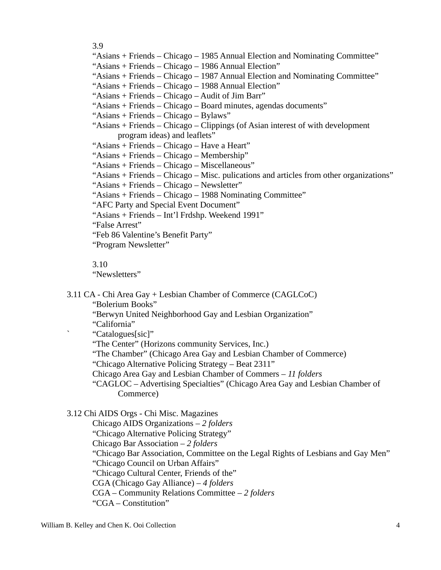3.9

"Asians + Friends – Chicago – 1985 Annual Election and Nominating Committee"

"Asians + Friends – Chicago – 1986 Annual Election"

"Asians + Friends – Chicago – 1987 Annual Election and Nominating Committee"

"Asians + Friends – Chicago – 1988 Annual Election"

"Asians + Friends – Chicago – Audit of Jim Barr"

"Asians + Friends – Chicago – Board minutes, agendas documents"

"Asians + Friends – Chicago – Bylaws"

"Asians + Friends – Chicago – Clippings (of Asian interest of with development program ideas) and leaflets"

"Asians + Friends – Chicago – Have a Heart"

"Asians + Friends – Chicago – Membership"

"Asians + Friends – Chicago – Miscellaneous"

"Asians + Friends – Chicago – Misc. pulications and articles from other organizations"

"Asians + Friends – Chicago – Newsletter"

"Asians + Friends – Chicago – 1988 Nominating Committee"

"AFC Party and Special Event Document"

"Asians + Friends – Int'l Frdshp. Weekend 1991"

"False Arrest"

"Feb 86 Valentine's Benefit Party"

"Program Newsletter"

3.10

"Newsletters"

3.11 CA - Chi Area Gay + Lesbian Chamber of Commerce (CAGLCoC)

"Bolerium Books"

"Berwyn United Neighborhood Gay and Lesbian Organization"

"California"

` "Catalogues[sic]"

"The Center" (Horizons community Services, Inc.)

"The Chamber" (Chicago Area Gay and Lesbian Chamber of Commerce)

"Chicago Alternative Policing Strategy – Beat 2311"

Chicago Area Gay and Lesbian Chamber of Commers – *11 folders*

"CAGLOC – Advertising Specialties" (Chicago Area Gay and Lesbian Chamber of Commerce)

## 3.12 Chi AIDS Orgs - Chi Misc. Magazines

Chicago AIDS Organizations – *2 folders*

"Chicago Alternative Policing Strategy"

Chicago Bar Association – *2 folders*

"Chicago Bar Association, Committee on the Legal Rights of Lesbians and Gay Men"

"Chicago Council on Urban Affairs"

"Chicago Cultural Center, Friends of the"

CGA (Chicago Gay Alliance) – *4 folders*

CGA – Community Relations Committee – *2 folders*

"CGA – Constitution"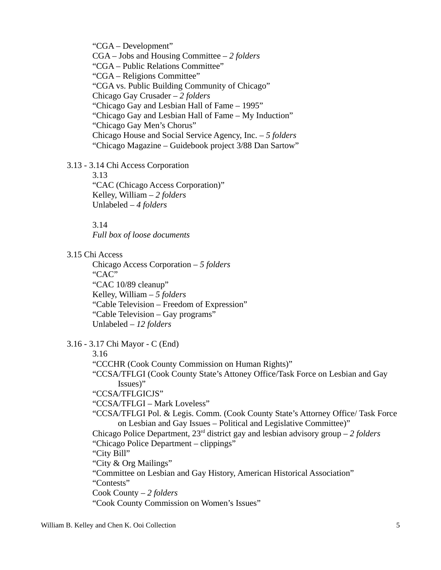"CGA – Development" CGA – Jobs and Housing Committee – *2 folders* "CGA – Public Relations Committee" "CGA – Religions Committee" "CGA vs. Public Building Community of Chicago" Chicago Gay Crusader – *2 folders* "Chicago Gay and Lesbian Hall of Fame – 1995" "Chicago Gay and Lesbian Hall of Fame – My Induction" "Chicago Gay Men's Chorus" Chicago House and Social Service Agency, Inc. – *5 folders* "Chicago Magazine – Guidebook project 3/88 Dan Sartow"

3.13 - 3.14 Chi Access Corporation

3.13 "CAC (Chicago Access Corporation)" Kelley, William – *2 folders* Unlabeled – *4 folders*

3.14

*Full box of loose documents*

3.15 Chi Access

Chicago Access Corporation – *5 folders* "CAC" "CAC 10/89 cleanup" Kelley, William – *5 folders* "Cable Television – Freedom of Expression" "Cable Television – Gay programs" Unlabeled – *12 folders*

3.16 - 3.17 Chi Mayor - C (End)

3.16

"CCCHR (Cook County Commission on Human Rights)"

"CCSA/TFLGI (Cook County State's Attoney Office/Task Force on Lesbian and Gay Issues)"

"CCSA/TFLGICJS"

"CCSA/TFLGI – Mark Loveless"

"CCSA/TFLGI Pol. & Legis. Comm. (Cook County State's Attorney Office/ Task Force on Lesbian and Gay Issues – Political and Legislative Committee)"

Chicago Police Department, 23rd district gay and lesbian advisory group – *2 folders* "Chicago Police Department – clippings"

"City Bill"

"City & Org Mailings"

"Committee on Lesbian and Gay History, American Historical Association" "Contests"

Cook County – *2 folders*

"Cook County Commission on Women's Issues"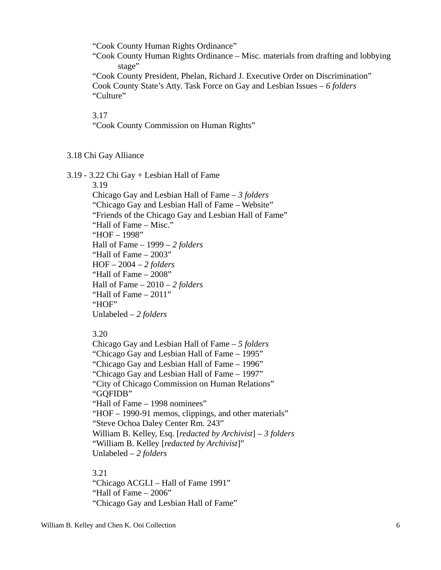"Cook County Human Rights Ordinance"

"Cook County Human Rights Ordinance – Misc. materials from drafting and lobbying stage"

"Cook County President, Phelan, Richard J. Executive Order on Discrimination" Cook County State's Atty. Task Force on Gay and Lesbian Issues – *6 folders* "Culture"

3.17

"Cook County Commission on Human Rights"

#### 3.18 Chi Gay Alliance

3.19 - 3.22 Chi Gay + Lesbian Hall of Fame

3.19

Chicago Gay and Lesbian Hall of Fame – *3 folders* "Chicago Gay and Lesbian Hall of Fame – Website" "Friends of the Chicago Gay and Lesbian Hall of Fame" "Hall of Fame – Misc." "HOF – 1998" Hall of Fame – 1999 – *2 folders* "Hall of Fame – 2003" HOF – 2004 – *2 folders* "Hall of Fame – 2008" Hall of Fame – 2010 – *2 folders* "Hall of Fame – 2011" "HOF" Unlabeled – *2 folders*

3.20

Chicago Gay and Lesbian Hall of Fame – *5 folders* "Chicago Gay and Lesbian Hall of Fame – 1995" "Chicago Gay and Lesbian Hall of Fame – 1996" "Chicago Gay and Lesbian Hall of Fame – 1997" "City of Chicago Commission on Human Relations" "GQFIDB" "Hall of Fame – 1998 nominees" "HOF – 1990-91 memos, clippings, and other materials" "Steve Ochoa Daley Center Rm. 243" William B. Kelley, Esq. [*redacted by Archivist*] – *3 folders* "William B. Kelley [*redacted by Archivist*]" Unlabeled – *2 folders*

3.21

"Chicago ACGLI – Hall of Fame 1991" "Hall of Fame – 2006" "Chicago Gay and Lesbian Hall of Fame"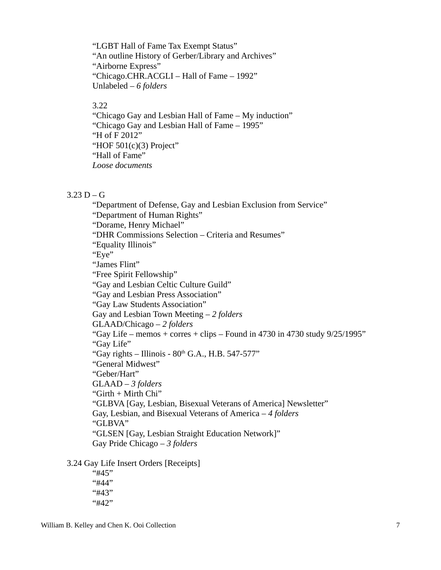"LGBT Hall of Fame Tax Exempt Status" "An outline History of Gerber/Library and Archives" "Airborne Express" "Chicago.CHR.ACGLI – Hall of Fame – 1992" Unlabeled – *6 folders*

#### 3.22

"Chicago Gay and Lesbian Hall of Fame – My induction" "Chicago Gay and Lesbian Hall of Fame – 1995" "H of F 2012" "HOF 501(c)(3) Project" "Hall of Fame" *Loose documents*

#### $3.23 D - G$

"Department of Defense, Gay and Lesbian Exclusion from Service" "Department of Human Rights" "Dorame, Henry Michael" "DHR Commissions Selection – Criteria and Resumes" "Equality Illinois" "Eye" "James Flint" "Free Spirit Fellowship" "Gay and Lesbian Celtic Culture Guild" "Gay and Lesbian Press Association" "Gay Law Students Association" Gay and Lesbian Town Meeting – *2 folders* GLAAD/Chicago – *2 folders* "Gay Life – memos + corres + clips – Found in 4730 in 4730 study  $9/25/1995$ " "Gay Life" "Gay rights – Illinois -  $80<sup>th</sup>$  G.A., H.B. 547-577" "General Midwest" "Geber/Hart" GLAAD – *3 folders* "Girth + Mirth Chi" "GLBVA [Gay, Lesbian, Bisexual Veterans of America] Newsletter" Gay, Lesbian, and Bisexual Veterans of America – *4 folders* "GLBVA" "GLSEN [Gay, Lesbian Straight Education Network]" Gay Pride Chicago – *3 folders*

3.24 Gay Life Insert Orders [Receipts]

"#45" "#44" "#43" "#42"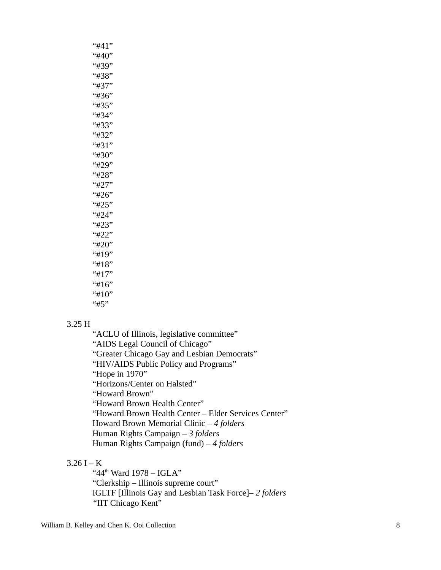| "#41" |
|-------|
| "#40" |
| "#39" |
| "#38" |
| "#37" |
| "#36" |
| "#35" |
| "#34" |
| "#33" |
| "#32" |
| "#31" |
| "#30" |
| "#29" |
| "#28" |
| "#27" |
| "#26" |
| "#25" |
| "#24" |
| "#23" |
| "#22" |
| "#20" |
| "#19" |
| "#18" |
| "#17" |
| "#16" |
| "#10" |
| "#5"  |

#### 3.25 H

"ACLU of Illinois, legislative committee" "AIDS Legal Council of Chicago" "Greater Chicago Gay and Lesbian Democrats" "HIV/AIDS Public Policy and Programs" "Hope in 1970" "Horizons/Center on Halsted" "Howard Brown" "Howard Brown Health Center" "Howard Brown Health Center – Elder Services Center" Howard Brown Memorial Clinic – *4 folders* Human Rights Campaign – *3 folders* Human Rights Campaign (fund) – *4 folders*

#### $3.26 I - K$

" $44<sup>th</sup>$  Ward  $1978 - IGLA"$ "Clerkship – Illinois supreme court" IGLTF [Illinois Gay and Lesbian Task Force]– *2 folders "*IIT Chicago Kent"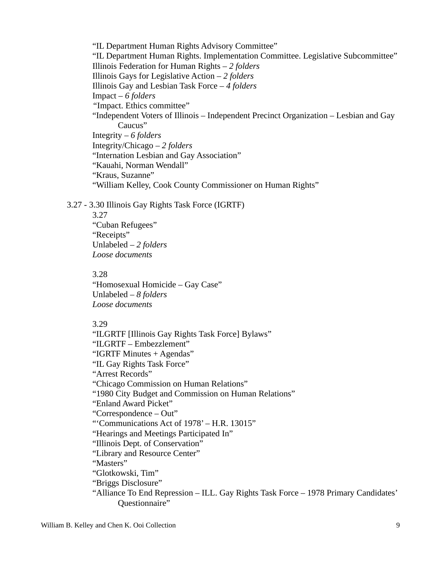"IL Department Human Rights Advisory Committee" "IL Department Human Rights. Implementation Committee. Legislative Subcommittee" Illinois Federation for Human Rights – *2 folders* Illinois Gays for Legislative Action – *2 folders* Illinois Gay and Lesbian Task Force – *4 folders* Impact – *6 folders "*Impact. Ethics committee" "Independent Voters of Illinois – Independent Precinct Organization – Lesbian and Gay Caucus" Integrity – *6 folders* Integrity/Chicago – *2 folders* "Internation Lesbian and Gay Association" "Kauahi, Norman Wendall" "Kraus, Suzanne" "William Kelley, Cook County Commissioner on Human Rights"

3.27 - 3.30 Illinois Gay Rights Task Force (IGRTF)

3.27 "Cuban Refugees" "Receipts" Unlabeled – *2 folders Loose documents*

#### 3.28

"Homosexual Homicide – Gay Case" Unlabeled – *8 folders Loose documents*

#### 3.29

"ILGRTF [Illinois Gay Rights Task Force] Bylaws" "ILGRTF – Embezzlement" "IGRTF Minutes + Agendas" "IL Gay Rights Task Force" "Arrest Records" "Chicago Commission on Human Relations" "1980 City Budget and Commission on Human Relations" "Enland Award Picket" "Correspondence – Out" "'Communications Act of 1978' – H.R. 13015" "Hearings and Meetings Participated In" "Illinois Dept. of Conservation" "Library and Resource Center" "Masters" "Glotkowski, Tim" "Briggs Disclosure" "Alliance To End Repression – ILL. Gay Rights Task Force – 1978 Primary Candidates' Questionnaire"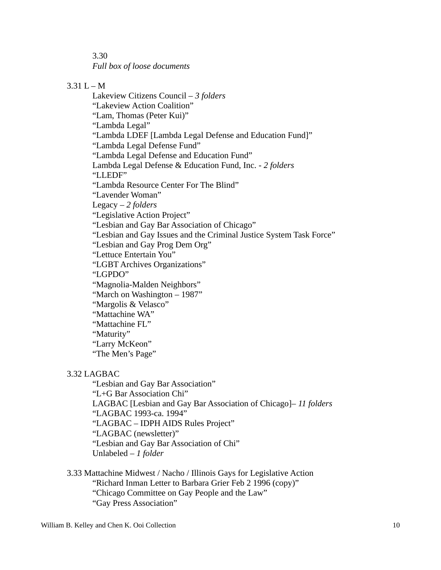3.30

*Full box of loose documents*

# $3.31 L - M$

Lakeview Citizens Council – *3 folders* "Lakeview Action Coalition" "Lam, Thomas (Peter Kui)" "Lambda Legal" "Lambda LDEF [Lambda Legal Defense and Education Fund]" "Lambda Legal Defense Fund" "Lambda Legal Defense and Education Fund" Lambda Legal Defense & Education Fund, Inc. - *2 folders* "LLEDF" "Lambda Resource Center For The Blind" "Lavender Woman" Legacy – *2 folders* "Legislative Action Project" "Lesbian and Gay Bar Association of Chicago" "Lesbian and Gay Issues and the Criminal Justice System Task Force" "Lesbian and Gay Prog Dem Org" "Lettuce Entertain You" "LGBT Archives Organizations" "LGPDO" "Magnolia-Malden Neighbors" "March on Washington – 1987" "Margolis & Velasco" "Mattachine WA" "Mattachine FL" "Maturity" "Larry McKeon" "The Men's Page"

## 3.32 LAGBAC

"Lesbian and Gay Bar Association" "L+G Bar Association Chi" LAGBAC [Lesbian and Gay Bar Association of Chicago]– *11 folders* "LAGBAC 1993-ca. 1994" "LAGBAC – IDPH AIDS Rules Project" "LAGBAC (newsletter)" "Lesbian and Gay Bar Association of Chi" Unlabeled – *1 folder*

3.33 Mattachine Midwest / Nacho / Illinois Gays for Legislative Action "Richard Inman Letter to Barbara Grier Feb 2 1996 (copy)" "Chicago Committee on Gay People and the Law" "Gay Press Association"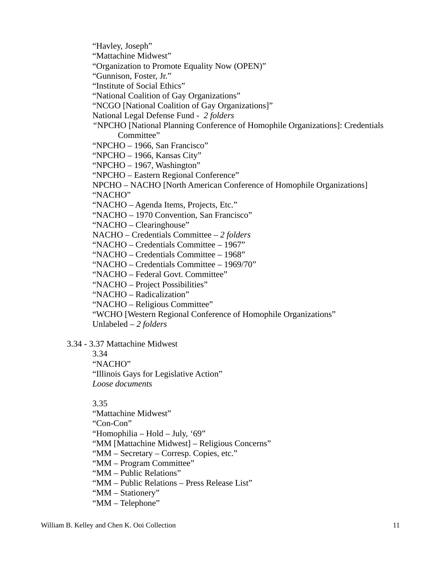"Havley, Joseph"

"Mattachine Midwest"

"Organization to Promote Equality Now (OPEN)"

"Gunnison, Foster, Jr."

"Institute of Social Ethics"

"National Coalition of Gay Organizations"

"NCGO [National Coalition of Gay Organizations]"

National Legal Defense Fund - *2 folders*

*"*NPCHO [National Planning Conference of Homophile Organizations]: Credentials Committee"

"NPCHO – 1966, San Francisco"

"NPCHO – 1966, Kansas City"

"NPCHO – 1967, Washington"

"NPCHO – Eastern Regional Conference"

NPCHO – NACHO [North American Conference of Homophile Organizations] "NACHO"

"NACHO – Agenda Items, Projects, Etc."

"NACHO – 1970 Convention, San Francisco"

"NACHO – Clearinghouse"

NACHO – Credentials Committee – *2 folders*

"NACHO – Credentials Committee – 1967"

"NACHO – Credentials Committee – 1968"

"NACHO – Credentials Committee – 1969/70"

"NACHO – Federal Govt. Committee"

"NACHO – Project Possibilities"

"NACHO – Radicalization"

"NACHO – Religious Committee"

"WCHO [Western Regional Conference of Homophile Organizations"

Unlabeled – *2 folders*

3.34 - 3.37 Mattachine Midwest

3.34

"NACHO"

"Illinois Gays for Legislative Action"

*Loose documents*

3.35

"Mattachine Midwest"

"Con-Con"

"Homophilia – Hold – July, '69"

"MM [Mattachine Midwest] – Religious Concerns"

"MM – Secretary – Corresp. Copies, etc."

"MM – Program Committee"

"MM – Public Relations"

"MM – Public Relations – Press Release List"

"MM – Stationery"

"MM – Telephone"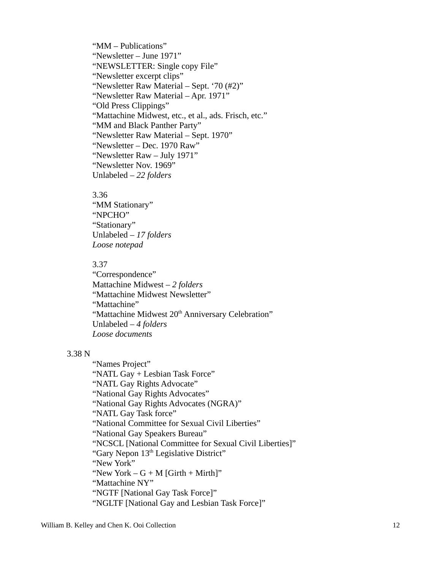"MM – Publications" "Newsletter – June 1971" "NEWSLETTER: Single copy File" "Newsletter excerpt clips" "Newsletter Raw Material – Sept. '70 (#2)" "Newsletter Raw Material – Apr. 1971" "Old Press Clippings" "Mattachine Midwest, etc., et al., ads. Frisch, etc." "MM and Black Panther Party" "Newsletter Raw Material – Sept. 1970" "Newsletter – Dec. 1970 Raw" "Newsletter Raw – July 1971" "Newsletter Nov. 1969" Unlabeled – *22 folders*

#### 3.36

"MM Stationary" "NPCHO" "Stationary" Unlabeled – *17 folders Loose notepad*

#### 3.37

"Correspondence" Mattachine Midwest – *2 folders* "Mattachine Midwest Newsletter" "Mattachine" "Mattachine Midwest 20<sup>th</sup> Anniversary Celebration" Unlabeled – *4 folders Loose documents*

#### 3.38 N

"Names Project" "NATL Gay + Lesbian Task Force" "NATL Gay Rights Advocate" "National Gay Rights Advocates" "National Gay Rights Advocates (NGRA)" "NATL Gay Task force" "National Committee for Sexual Civil Liberties" "National Gay Speakers Bureau" "NCSCL [National Committee for Sexual Civil Liberties]" "Gary Nepon 13<sup>th</sup> Legislative District" "New York" "New York  $-G + M$  [Girth  $+$  Mirth]" "Mattachine NY" "NGTF [National Gay Task Force]" "NGLTF [National Gay and Lesbian Task Force]"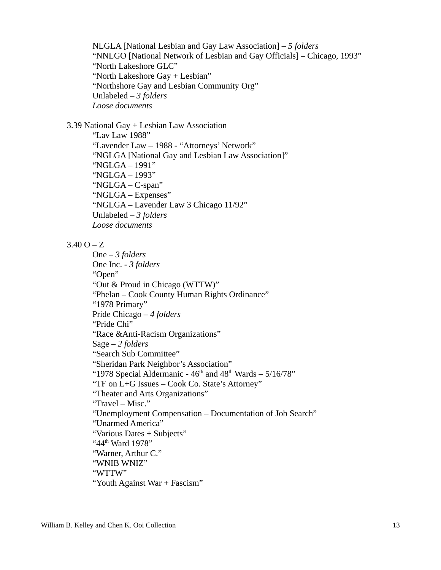NLGLA [National Lesbian and Gay Law Association] – *5 folders* "NNLGO [National Network of Lesbian and Gay Officials] – Chicago, 1993" "North Lakeshore GLC" "North Lakeshore Gay + Lesbian" "Northshore Gay and Lesbian Community Org" Unlabeled – *3 folders Loose documents*

3.39 National Gay + Lesbian Law Association

"Lav Law 1988" "Lavender Law – 1988 - "Attorneys' Network" "NGLGA [National Gay and Lesbian Law Association]" "NGLGA – 1991" "NGLGA – 1993" "NGLGA – C-span" "NGLGA – Expenses" "NGLGA – Lavender Law 3 Chicago 11/92" Unlabeled – *3 folders Loose documents*

#### $3.40 O - Z$

```
One – 3 folders
One Inc. - 3 folders
"Open"
"Out & Proud in Chicago (WTTW)"
"Phelan – Cook County Human Rights Ordinance"
"1978 Primary"
Pride Chicago – 4 folders
"Pride Chi"
"Race &Anti-Racism Organizations"
Sage – 2 folders
"Search Sub Committee"
"Sheridan Park Neighbor's Association"
"1978 Special Aldermanic - 46<sup>th</sup> and 48<sup>th</sup> Wards -5/16/78"
"TF on L+G Issues – Cook Co. State's Attorney"
"Theater and Arts Organizations"
"Travel – Misc."
"Unemployment Compensation – Documentation of Job Search"
"Unarmed America"
"Various Dates + Subjects"
"44<sup>th</sup> Ward 1978"
"Warner, Arthur C."
"WNIB WNIZ"
"WTTW"
"Youth Against War + Fascism"
```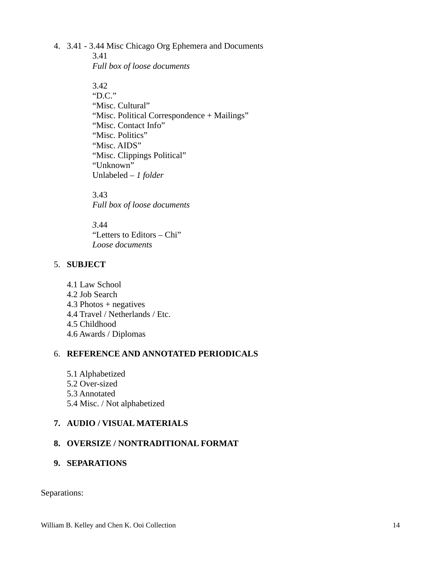#### 4. 3.41 - 3.44 Misc Chicago Org Ephemera and Documents

3.41 *Full box of loose documents*

3.42 "D.C." "Misc. Cultural" "Misc. Political Correspondence + Mailings" "Misc. Contact Info" "Misc. Politics" "Misc. AIDS" "Misc. Clippings Political" "Unknown" Unlabeled – *1 folder*

3.43 *Full box of loose documents*

*3*.44 "Letters to Editors – Chi" *Loose documents*

## 5. **SUBJECT**

4.1 Law School 4.2 Job Search 4.3 Photos + negatives 4.4 Travel / Netherlands / Etc. 4.5 Childhood 4.6 Awards / Diplomas

## 6. **REFERENCE AND ANNOTATED PERIODICALS**

- 5.1 Alphabetized
- 5.2 Over-sized
- 5.3 Annotated
- 5.4 Misc. / Not alphabetized

## **7. AUDIO / VISUAL MATERIALS**

## **8. OVERSIZE / NONTRADITIONAL FORMAT**

**9. SEPARATIONS**

Separations: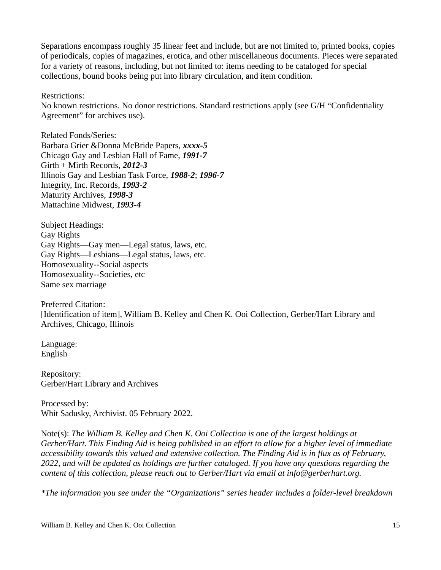Separations encompass roughly 35 linear feet and include, but are not limited to, printed books, copies of periodicals, copies of magazines, erotica, and other miscellaneous documents. Pieces were separated for a variety of reasons, including, but not limited to: items needing to be cataloged for special collections, bound books being put into library circulation, and item condition.

Restrictions:

No known restrictions. No donor restrictions. Standard restrictions apply (see G/H "Confidentiality Agreement" for archives use).

Related Fonds/Series: Barbara Grier &Donna McBride Papers, *xxxx-5* Chicago Gay and Lesbian Hall of Fame, *1991-7* Girth + Mirth Records, *2012-3* Illinois Gay and Lesbian Task Force, *1988-2*; *1996-7*  Integrity, Inc. Records, *1993-2* Maturity Archives, *1998-3* Mattachine Midwest, *1993-4*

Subject Headings: Gay Rights Gay Rights—Gay men—Legal status, laws, etc. Gay Rights—Lesbians—Legal status, laws, etc. Homosexuality--Social aspects Homosexuality--Societies, etc Same sex marriage

Preferred Citation: [Identification of item], William B. Kelley and Chen K. Ooi Collection, Gerber/Hart Library and Archives, Chicago, Illinois

Language: English

Repository: Gerber/Hart Library and Archives

Processed by: Whit Sadusky, Archivist. 05 February 2022.

Note(s): *The William B. Kelley and Chen K. Ooi Collection is one of the largest holdings at Gerber/Hart. This Finding Aid is being published in an effort to allow for a higher level of immediate accessibility towards this valued and extensive collection. The Finding Aid is in flux as of February, 2022, and will be updated as holdings are further cataloged. If you have any questions regarding the content of this collection, please reach out to Gerber/Hart via email at info@gerberhart.org.* 

*\*The information you see under the "Organizations" series header includes a folder-level breakdown*